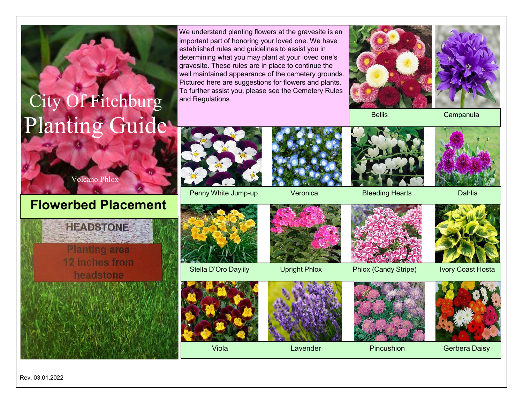## City Of Fitchburg Planting Guide

We understand planting flowers at the gravesite is an important part of honoring your loved one. We have established rules and guidelines to assist you in determining what you may plant at your loved one's gravesite. These rules are in place to continue the well maintained appearance of the cemetery grounds. Pictured here are suggestions for flowers and plants. To further assist you, please see the Cemetery Rules and Regulations.



Bellis Campanula



## **Flowerbed Placement**



Penny White Jump-up Veronica Bleeding Hearts Dahlia







headstone



Stella D'Oro Daylily **Upright Phlox Phlox (Candy Stripe)** Ivory Coast Hosta











Viola Lavender Pincushion Gerbera Daisy

Rev. 03.01.2022